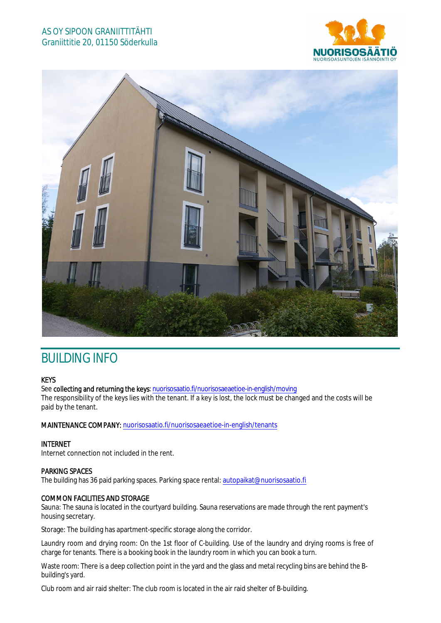## AS OY SIPOON GRANIITTITÄHTI Graniittitie 20, 01150 Söderkulla





# BUILDING INFO

#### KEYS

See collecting and returning the keys: nuorisosaatio.fi/nuorisosaeaetioe-in-english/moving

The responsibility of the keys lies with the tenant. If a key is lost, the lock must be changed and the costs will be paid by the tenant.

#### MAINTENANCE COMPANY: nuorisosaatio.fi/nuorisosaeaetioe-in-english/tenants

#### INTERNET

Internet connection not included in the rent.

#### PARKING SPACES

The building has 36 paid parking spaces. Parking space rental: autopaikat@nuorisosaatio.fi

#### COMMON FACILITIES AND STORAGE

Sauna: The sauna is located in the courtyard building. Sauna reservations are made through the rent payment's housing secretary.

Storage: The building has apartment-specific storage along the corridor.

Laundry room and drying room: On the 1st floor of C-building. Use of the laundry and drying rooms is free of charge for tenants. There is a booking book in the laundry room in which you can book a turn.

Waste room: There is a deep collection point in the yard and the glass and metal recycling bins are behind the Bbuilding's yard.

Club room and air raid shelter: The club room is located in the air raid shelter of B-building.